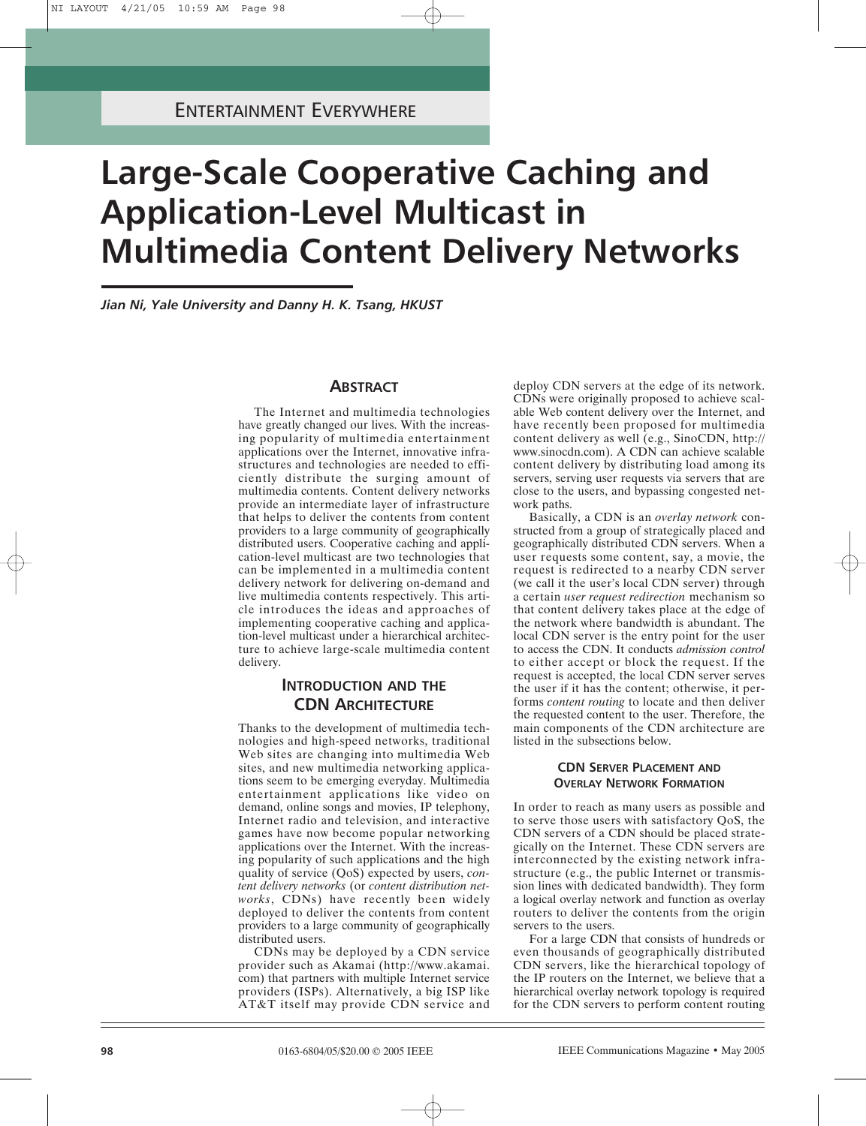# **Large-Scale Cooperative Caching and Application-Level Multicast in Multimedia Content Delivery Networks**

*Jian Ni, Yale University and Danny H. K. Tsang, HKUST*

### **ABSTRACT**

The Internet and multimedia technologies have greatly changed our lives. With the increasing popularity of multimedia entertainment applications over the Internet, innovative infrastructures and technologies are needed to efficiently distribute the surging amount of multimedia contents. Content delivery networks provide an intermediate layer of infrastructure that helps to deliver the contents from content providers to a large community of geographically distributed users. Cooperative caching and application-level multicast are two technologies that can be implemented in a multimedia content delivery network for delivering on-demand and live multimedia contents respectively. This article introduces the ideas and approaches of implementing cooperative caching and application-level multicast under a hierarchical architecture to achieve large-scale multimedia content delivery.

# **INTRODUCTION AND THE CDN ARCHITECTURE**

Thanks to the development of multimedia technologies and high-speed networks, traditional Web sites are changing into multimedia Web sites, and new multimedia networking applications seem to be emerging everyday. Multimedia entertainment applications like video on demand, online songs and movies, IP telephony, Internet radio and television, and interactive games have now become popular networking applications over the Internet. With the increasing popularity of such applications and the high quality of service (QoS) expected by users, *content delivery networks* (or *content distribution networks*, CDNs) have recently been widely deployed to deliver the contents from content providers to a large community of geographically distributed users.

CDNs may be deployed by a CDN service provider such as Akamai (http://www.akamai. com) that partners with multiple Internet service providers (ISPs). Alternatively, a big ISP like AT&T itself may provide CDN service and deploy CDN servers at the edge of its network. CDNs were originally proposed to achieve scalable Web content delivery over the Internet, and have recently been proposed for multimedia content delivery as well (e.g., SinoCDN, http:// www.sinocdn.com). A CDN can achieve scalable content delivery by distributing load among its servers, serving user requests via servers that are close to the users, and bypassing congested network paths.

Basically, a CDN is an *overlay network* constructed from a group of strategically placed and geographically distributed CDN servers. When a user requests some content, say, a movie, the request is redirected to a nearby CDN server (we call it the user's local CDN server) through a certain *user request redirection* mechanism so that content delivery takes place at the edge of the network where bandwidth is abundant. The local CDN server is the entry point for the user to access the CDN. It conducts *admission control* to either accept or block the request. If the request is accepted, the local CDN server serves the user if it has the content; otherwise, it performs *content routing* to locate and then deliver the requested content to the user. Therefore, the main components of the CDN architecture are listed in the subsections below.

### **CDN SERVER PLACEMENT AND OVERLAY NETWORK FORMATION**

In order to reach as many users as possible and to serve those users with satisfactory QoS, the CDN servers of a CDN should be placed strategically on the Internet. These CDN servers are interconnected by the existing network infrastructure (e.g., the public Internet or transmission lines with dedicated bandwidth). They form a logical overlay network and function as overlay routers to deliver the contents from the origin servers to the users.

For a large CDN that consists of hundreds or even thousands of geographically distributed CDN servers, like the hierarchical topology of the IP routers on the Internet, we believe that a hierarchical overlay network topology is required for the CDN servers to perform content routing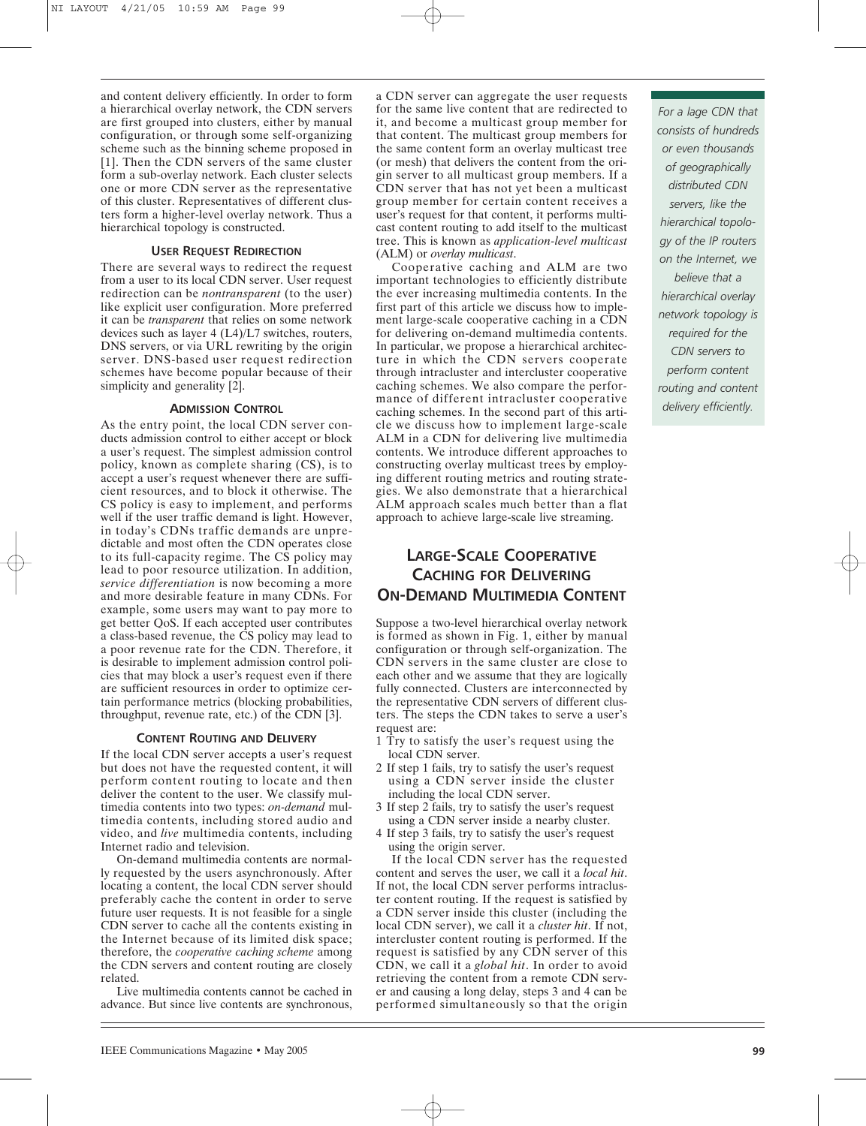and content delivery efficiently. In order to form a hierarchical overlay network, the CDN servers are first grouped into clusters, either by manual configuration, or through some self-organizing scheme such as the binning scheme proposed in [1]. Then the CDN servers of the same cluster form a sub-overlay network. Each cluster selects one or more CDN server as the representative of this cluster. Representatives of different clusters form a higher-level overlay network. Thus a hierarchical topology is constructed.

### **USER REQUEST REDIRECTION**

There are several ways to redirect the request from a user to its local CDN server. User request redirection can be *nontransparent* (to the user) like explicit user configuration. More preferred it can be *transparent* that relies on some network devices such as layer 4 (L4)/L7 switches, routers, DNS servers, or via URL rewriting by the origin server. DNS-based user request redirection schemes have become popular because of their simplicity and generality [2].

### **ADMISSION CONTROL**

As the entry point, the local CDN server conducts admission control to either accept or block a user's request. The simplest admission control policy, known as complete sharing (CS), is to accept a user's request whenever there are sufficient resources, and to block it otherwise. The CS policy is easy to implement, and performs well if the user traffic demand is light. However, in today's CDNs traffic demands are unpredictable and most often the CDN operates close to its full-capacity regime. The CS policy may lead to poor resource utilization. In addition, *service differentiation* is now becoming a more and more desirable feature in many CDNs. For example, some users may want to pay more to get better QoS. If each accepted user contributes a class-based revenue, the CS policy may lead to a poor revenue rate for the CDN. Therefore, it is desirable to implement admission control policies that may block a user's request even if there are sufficient resources in order to optimize certain performance metrics (blocking probabilities, throughput, revenue rate, etc.) of the CDN [3].

#### **CONTENT ROUTING AND DELIVERY**

If the local CDN server accepts a user's request but does not have the requested content, it will perform content routing to locate and then deliver the content to the user. We classify multimedia contents into two types: *on-demand* multimedia contents, including stored audio and video, and *live* multimedia contents, including Internet radio and television.

On-demand multimedia contents are normally requested by the users asynchronously. After locating a content, the local CDN server should preferably cache the content in order to serve future user requests. It is not feasible for a single CDN server to cache all the contents existing in the Internet because of its limited disk space; therefore, the *cooperative caching scheme* among the CDN servers and content routing are closely related.

Live multimedia contents cannot be cached in advance. But since live contents are synchronous,

a CDN server can aggregate the user requests for the same live content that are redirected to it, and become a multicast group member for that content. The multicast group members for the same content form an overlay multicast tree (or mesh) that delivers the content from the origin server to all multicast group members. If a CDN server that has not yet been a multicast group member for certain content receives a user's request for that content, it performs multicast content routing to add itself to the multicast tree. This is known as *application-level multicast* (ALM) or *overlay multicast*.

Cooperative caching and ALM are two important technologies to efficiently distribute the ever increasing multimedia contents. In the first part of this article we discuss how to implement large-scale cooperative caching in a CDN for delivering on-demand multimedia contents. In particular, we propose a hierarchical architecture in which the CDN servers cooperate through intracluster and intercluster cooperative caching schemes. We also compare the performance of different intracluster cooperative caching schemes. In the second part of this article we discuss how to implement large-scale ALM in a CDN for delivering live multimedia contents. We introduce different approaches to constructing overlay multicast trees by employing different routing metrics and routing strategies. We also demonstrate that a hierarchical ALM approach scales much better than a flat approach to achieve large-scale live streaming.

# **LARGE-SCALE COOPERATIVE CACHING FOR DELIVERING ON-DEMAND MULTIMEDIA CONTENT**

Suppose a two-level hierarchical overlay network is formed as shown in Fig. 1, either by manual configuration or through self-organization. The CDN servers in the same cluster are close to each other and we assume that they are logically fully connected. Clusters are interconnected by the representative CDN servers of different clusters. The steps the CDN takes to serve a user's request are:

- 1 Try to satisfy the user's request using the local CDN server.
- 2 If step 1 fails, try to satisfy the user's request using a CDN server inside the cluster including the local CDN server.
- 3 If step 2 fails, try to satisfy the user's request using a CDN server inside a nearby cluster.
- 4 If step 3 fails, try to satisfy the user's request using the origin server.

If the local CDN server has the requested content and serves the user, we call it a *local hit*. If not, the local CDN server performs intracluster content routing. If the request is satisfied by a CDN server inside this cluster (including the local CDN server), we call it a *cluster hit*. If not, intercluster content routing is performed. If the request is satisfied by any CDN server of this CDN, we call it a *global hit*. In order to avoid retrieving the content from a remote CDN server and causing a long delay, steps 3 and 4 can be performed simultaneously so that the origin

*For a lage CDN that consists of hundreds or even thousands of geographically distributed CDN servers, like the hierarchical topology of the IP routers on the Internet, we believe that a hierarchical overlay network topology is required for the CDN servers to perform content routing and content delivery efficiently.*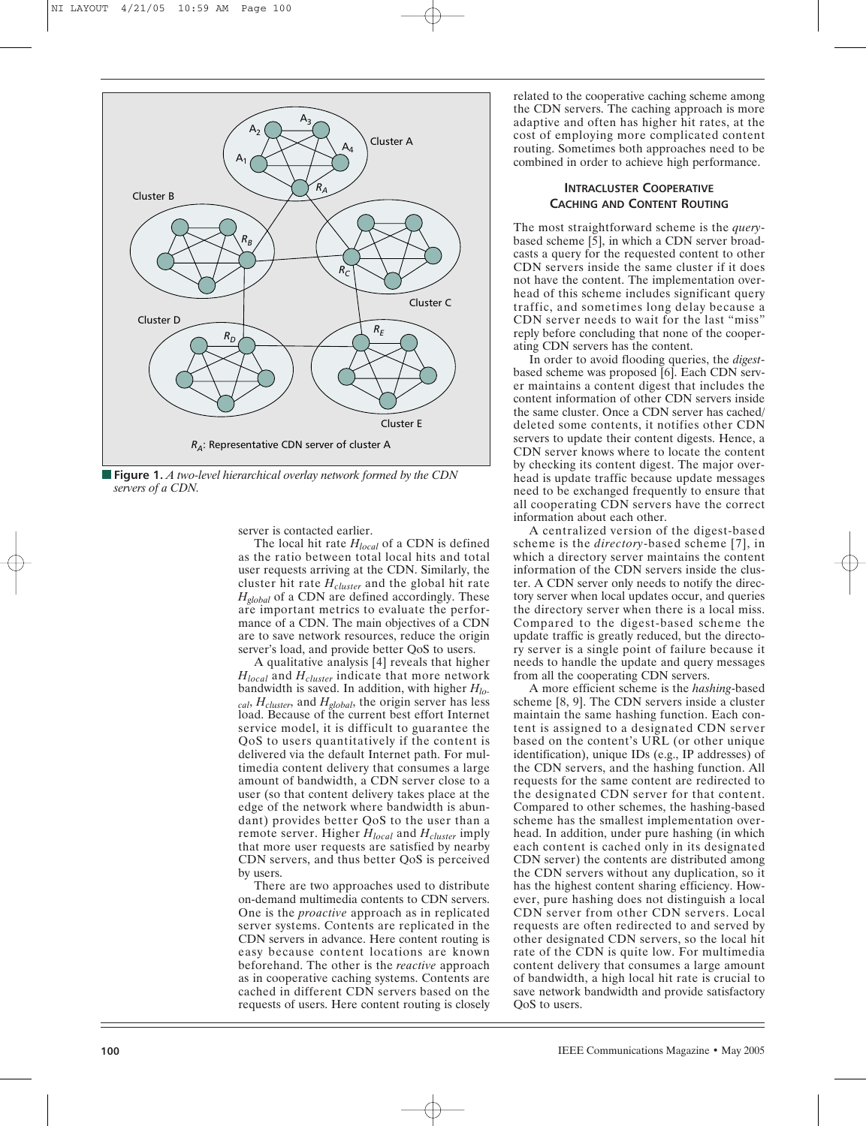

■ **Figure 1.** *A two-level hierarchical overlay network formed by the CDN servers of a CDN.*

server is contacted earlier.

The local hit rate *Hlocal* of a CDN is defined as the ratio between total local hits and total user requests arriving at the CDN. Similarly, the cluster hit rate *Hcluster* and the global hit rate *Hglobal* of a CDN are defined accordingly. These are important metrics to evaluate the performance of a CDN. The main objectives of a CDN are to save network resources, reduce the origin server's load, and provide better QoS to users.

A qualitative analysis [4] reveals that higher *Hlocal* and *Hcluster* indicate that more network bandwidth is saved. In addition, with higher *Hlocal*, *Hcluster*, and *Hglobal*, the origin server has less load. Because of the current best effort Internet service model, it is difficult to guarantee the QoS to users quantitatively if the content is delivered via the default Internet path. For multimedia content delivery that consumes a large amount of bandwidth, a CDN server close to a user (so that content delivery takes place at the edge of the network where bandwidth is abundant) provides better QoS to the user than a remote server. Higher *Hlocal* and *Hcluster* imply that more user requests are satisfied by nearby CDN servers, and thus better QoS is perceived by users.

There are two approaches used to distribute on-demand multimedia contents to CDN servers. One is the *proactive* approach as in replicated server systems. Contents are replicated in the CDN servers in advance. Here content routing is easy because content locations are known beforehand. The other is the *reactive* approach as in cooperative caching systems. Contents are cached in different CDN servers based on the requests of users. Here content routing is closely related to the cooperative caching scheme among the CDN servers. The caching approach is more adaptive and often has higher hit rates, at the cost of employing more complicated content routing. Sometimes both approaches need to be combined in order to achieve high performance.

## **INTRACLUSTER COOPERATIVE CACHING AND CONTENT ROUTING**

The most straightforward scheme is the *query*based scheme [5], in which a CDN server broadcasts a query for the requested content to other CDN servers inside the same cluster if it does not have the content. The implementation overhead of this scheme includes significant query traffic, and sometimes long delay because a CDN server needs to wait for the last "miss" reply before concluding that none of the cooperating CDN servers has the content.

In order to avoid flooding queries, the *digest*based scheme was proposed [6]. Each CDN server maintains a content digest that includes the content information of other CDN servers inside the same cluster. Once a CDN server has cached/ deleted some contents, it notifies other CDN servers to update their content digests. Hence, a CDN server knows where to locate the content by checking its content digest. The major overhead is update traffic because update messages need to be exchanged frequently to ensure that all cooperating CDN servers have the correct information about each other.

A centralized version of the digest-based scheme is the *directory*-based scheme [7], in which a directory server maintains the content information of the CDN servers inside the cluster. A CDN server only needs to notify the directory server when local updates occur, and queries the directory server when there is a local miss. Compared to the digest-based scheme the update traffic is greatly reduced, but the directory server is a single point of failure because it needs to handle the update and query messages from all the cooperating CDN servers.

A more efficient scheme is the *hashing*-based scheme [8, 9]. The CDN servers inside a cluster maintain the same hashing function. Each content is assigned to a designated CDN server based on the content's URL (or other unique identification), unique IDs (e.g., IP addresses) of the CDN servers, and the hashing function. All requests for the same content are redirected to the designated CDN server for that content. Compared to other schemes, the hashing-based scheme has the smallest implementation overhead. In addition, under pure hashing (in which each content is cached only in its designated CDN server) the contents are distributed among the CDN servers without any duplication, so it has the highest content sharing efficiency. However, pure hashing does not distinguish a local CDN server from other CDN servers. Local requests are often redirected to and served by other designated CDN servers, so the local hit rate of the CDN is quite low. For multimedia content delivery that consumes a large amount of bandwidth, a high local hit rate is crucial to save network bandwidth and provide satisfactory QoS to users.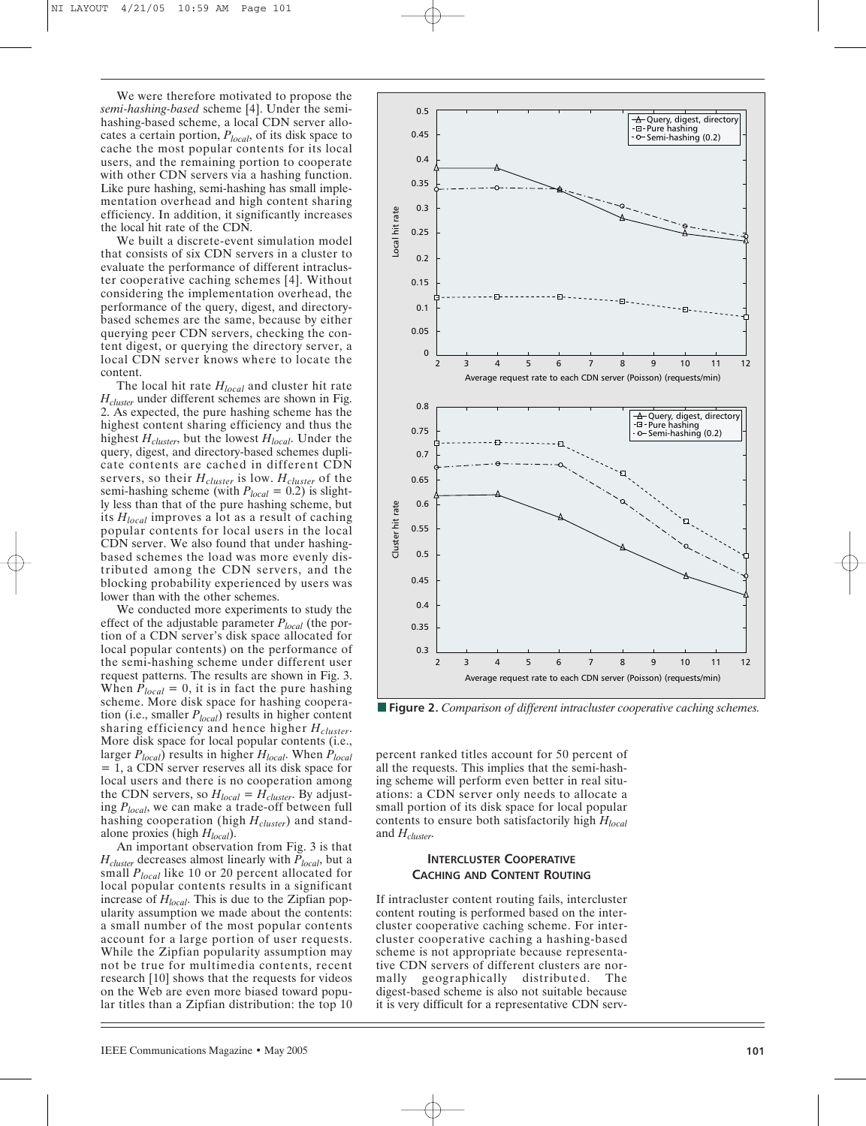We were therefore motivated to propose the *semi-hashing-based* scheme [4]. Under the semihashing-based scheme, a local CDN server allocates a certain portion, *Plocal*, of its disk space to cache the most popular contents for its local users, and the remaining portion to cooperate with other CDN servers via a hashing function. Like pure hashing, semi-hashing has small implementation overhead and high content sharing efficiency. In addition, it significantly increases the local hit rate of the CDN.

We built a discrete-event simulation model that consists of six CDN servers in a cluster to evaluate the performance of different intracluster cooperative caching schemes [4]. Without considering the implementation overhead, the performance of the query, digest, and directorybased schemes are the same, because by either querying peer CDN servers, checking the content digest, or querying the directory server, a local CDN server knows where to locate the content.

The local hit rate *Hlocal* and cluster hit rate *Hcluster* under different schemes are shown in Fig. 2. As expected, the pure hashing scheme has the highest content sharing efficiency and thus the highest *Hcluster*, but the lowest *Hlocal*. Under the query, digest, and directory-based schemes duplicate contents are cached in different CDN servers, so their *Hcluster* is low. *Hcluster* of the semi-hashing scheme (with  $P_{local} = 0.2$ ) is slightly less than that of the pure hashing scheme, but its *Hlocal* improves a lot as a result of caching popular contents for local users in the local CDN server. We also found that under hashingbased schemes the load was more evenly distributed among the CDN servers, and the blocking probability experienced by users was lower than with the other schemes.

We conducted more experiments to study the effect of the adjustable parameter *Plocal* (the portion of a CDN server's disk space allocated for local popular contents) on the performance of the semi-hashing scheme under different user request patterns. The results are shown in Fig. 3. When  $P_{local} = 0$ , it is in fact the pure hashing scheme. More disk space for hashing cooperation (i.e., smaller *Plocal*) results in higher content sharing efficiency and hence higher *Hcluster*. More disk space for local popular contents (i.e., larger *Plocal*) results in higher *Hlocal*. When *Plocal* = 1, a CDN server reserves all its disk space for local users and there is no cooperation among the CDN servers, so  $H_{local} = H_{cluster}$ . By adjusting *Plocal*, we can make a trade-off between full hashing cooperation (high  $H_{cluster}$ ) and standalone proxies (high *Hlocal*).

An important observation from Fig. 3 is that *Hcluster* decreases almost linearly with *Plocal*, but a small *Plocal* like 10 or 20 percent allocated for local popular contents results in a significant increase of *Hlocal*. This is due to the Zipfian popularity assumption we made about the contents: a small number of the most popular contents account for a large portion of user requests. While the Zipfian popularity assumption may not be true for multimedia contents, recent research [10] shows that the requests for videos on the Web are even more biased toward popular titles than a Zipfian distribution: the top 10



■ **Figure 2.** *Comparison of different intracluster cooperative caching schemes.* 

percent ranked titles account for 50 percent of all the requests. This implies that the semi-hashing scheme will perform even better in real situations: a CDN server only needs to allocate a small portion of its disk space for local popular contents to ensure both satisfactorily high *Hlocal* and *Hcluster*.

### **INTERCLUSTER COOPERATIVE CACHING AND CONTENT ROUTING**

If intracluster content routing fails, intercluster content routing is performed based on the intercluster cooperative caching scheme. For intercluster cooperative caching a hashing-based scheme is not appropriate because representative CDN servers of different clusters are normally geographically distributed. The digest-based scheme is also not suitable because it is very difficult for a representative CDN serv-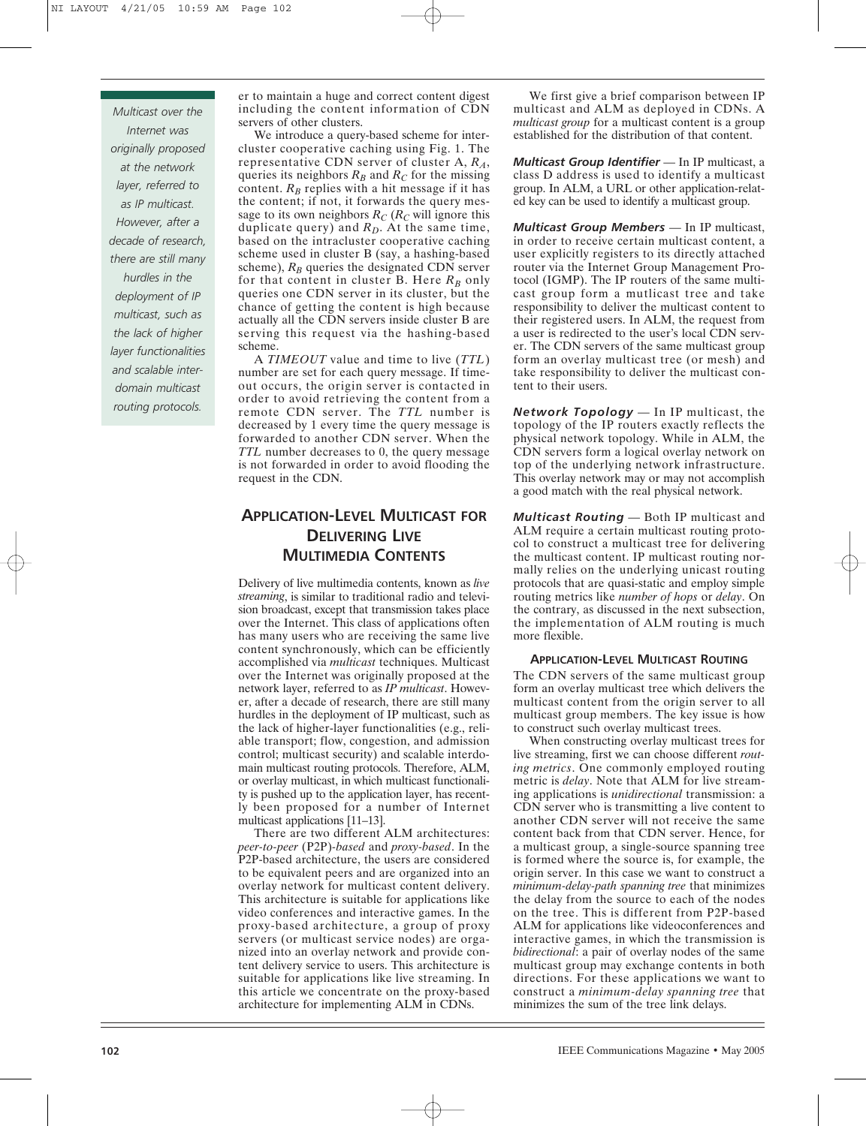*Multicast over the Internet was originally proposed at the network layer, referred to as IP multicast. However, after a decade of research, there are still many hurdles in the deployment of IP multicast, such as the lack of higher layer functionalities and scalable interdomain multicast routing protocols.*

er to maintain a huge and correct content digest including the content information of CDN servers of other clusters.

We introduce a query-based scheme for intercluster cooperative caching using Fig. 1. The representative CDN server of cluster A, *RA*, queries its neighbors  $R_B$  and  $R_C$  for the missing content.  $R_B$  replies with a hit message if it has the content; if not, it forwards the query message to its own neighbors  $R_C$  ( $R_C$  will ignore this duplicate query) and *RD*. At the same time, based on the intracluster cooperative caching scheme used in cluster B (say, a hashing-based scheme),  $R_B$  queries the designated CDN server for that content in cluster B. Here  $R_B$  only queries one CDN server in its cluster, but the chance of getting the content is high because actually all the CDN servers inside cluster B are serving this request via the hashing-based scheme.

A *TIMEOUT* value and time to live (*TTL*) number are set for each query message. If timeout occurs, the origin server is contacted in order to avoid retrieving the content from a remote CDN server. The *TTL* number is decreased by 1 every time the query message is forwarded to another CDN server. When the *TTL* number decreases to 0, the query message is not forwarded in order to avoid flooding the request in the CDN.

# **APPLICATION-LEVEL MULTICAST FOR DELIVERING LIVE MULTIMEDIA CONTENTS**

Delivery of live multimedia contents, known as *live streaming*, is similar to traditional radio and television broadcast, except that transmission takes place over the Internet. This class of applications often has many users who are receiving the same live content synchronously, which can be efficiently accomplished via *multicast* techniques. Multicast over the Internet was originally proposed at the network layer, referred to as *IP multicast*. However, after a decade of research, there are still many hurdles in the deployment of IP multicast, such as the lack of higher-layer functionalities (e.g., reliable transport; flow, congestion, and admission control; multicast security) and scalable interdomain multicast routing protocols. Therefore, ALM, or overlay multicast, in which multicast functionality is pushed up to the application layer, has recently been proposed for a number of Internet multicast applications [11–13].

There are two different ALM architectures: *peer-to-peer* (P2P)*-based* and *proxy-based*. In the P2P-based architecture, the users are considered to be equivalent peers and are organized into an overlay network for multicast content delivery. This architecture is suitable for applications like video conferences and interactive games. In the proxy-based architecture, a group of proxy servers (or multicast service nodes) are organized into an overlay network and provide content delivery service to users. This architecture is suitable for applications like live streaming. In this article we concentrate on the proxy-based architecture for implementing ALM in CDNs.

We first give a brief comparison between IP multicast and ALM as deployed in CDNs. A *multicast group* for a multicast content is a group established for the distribution of that content.

*Multicast Group Identifier* — In IP multicast, a class D address is used to identify a multicast group. In ALM, a URL or other application-related key can be used to identify a multicast group.

*Multicast Group Members* — In IP multicast, in order to receive certain multicast content, a user explicitly registers to its directly attached router via the Internet Group Management Protocol (IGMP). The IP routers of the same multicast group form a mutlicast tree and take responsibility to deliver the multicast content to their registered users. In ALM, the request from a user is redirected to the user's local CDN server. The CDN servers of the same multicast group form an overlay multicast tree (or mesh) and take responsibility to deliver the multicast content to their users.

*Network Topology* — In IP multicast, the topology of the IP routers exactly reflects the physical network topology. While in ALM, the CDN servers form a logical overlay network on top of the underlying network infrastructure. This overlay network may or may not accomplish a good match with the real physical network.

*Multicast Routing* — Both IP multicast and ALM require a certain multicast routing protocol to construct a multicast tree for delivering the multicast content. IP multicast routing normally relies on the underlying unicast routing protocols that are quasi-static and employ simple routing metrics like *number of hops* or *delay*. On the contrary, as discussed in the next subsection, the implementation of ALM routing is much more flexible.

### **APPLICATION-LEVEL MULTICAST ROUTING**

The CDN servers of the same multicast group form an overlay multicast tree which delivers the multicast content from the origin server to all multicast group members. The key issue is how to construct such overlay multicast trees.

When constructing overlay multicast trees for live streaming, first we can choose different *routing metrics*. One commonly employed routing metric is *delay*. Note that ALM for live streaming applications is *unidirectional* transmission: a CDN server who is transmitting a live content to another CDN server will not receive the same content back from that CDN server. Hence, for a multicast group, a single-source spanning tree is formed where the source is, for example, the origin server. In this case we want to construct a *minimum-delay-path spanning tree* that minimizes the delay from the source to each of the nodes on the tree. This is different from P2P-based ALM for applications like videoconferences and interactive games, in which the transmission is *bidirectional*: a pair of overlay nodes of the same multicast group may exchange contents in both directions. For these applications we want to construct a *minimum-delay spanning tree* that minimizes the sum of the tree link delays.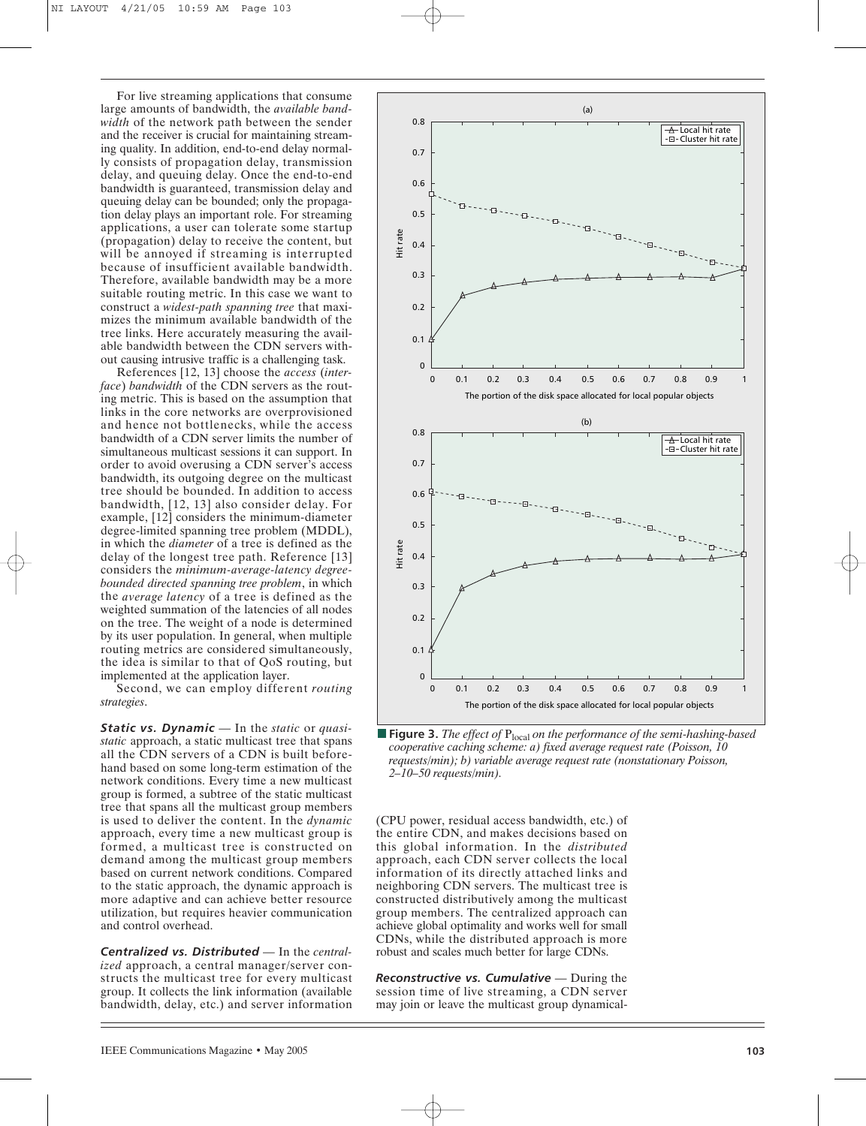For live streaming applications that consume large amounts of bandwidth, the *available bandwidth* of the network path between the sender and the receiver is crucial for maintaining streaming quality. In addition, end-to-end delay normally consists of propagation delay, transmission delay, and queuing delay. Once the end-to-end bandwidth is guaranteed, transmission delay and queuing delay can be bounded; only the propagation delay plays an important role. For streaming applications, a user can tolerate some startup (propagation) delay to receive the content, but will be annoyed if streaming is interrupted because of insufficient available bandwidth. Therefore, available bandwidth may be a more suitable routing metric. In this case we want to construct a *widest-path spanning tree* that maximizes the minimum available bandwidth of the tree links. Here accurately measuring the available bandwidth between the CDN servers without causing intrusive traffic is a challenging task.

References [12, 13] choose the *access* (*interface*) *bandwidth* of the CDN servers as the routing metric. This is based on the assumption that links in the core networks are overprovisioned and hence not bottlenecks, while the access bandwidth of a CDN server limits the number of simultaneous multicast sessions it can support. In order to avoid overusing a CDN server's access bandwidth, its outgoing degree on the multicast tree should be bounded. In addition to access bandwidth, [12, 13] also consider delay. For example, [12] considers the minimum-diameter degree-limited spanning tree problem (MDDL), in which the *diameter* of a tree is defined as the delay of the longest tree path. Reference [13] considers the *minimum-average-latency degreebounded directed spanning tree problem*, in which the *average latency* of a tree is defined as the weighted summation of the latencies of all nodes on the tree. The weight of a node is determined by its user population. In general, when multiple routing metrics are considered simultaneously, the idea is similar to that of QoS routing, but implemented at the application layer.

Second, we can employ different *routing strategies*.

*Static vs. Dynamic* — In the *static* or *quasistatic* approach, a static multicast tree that spans all the CDN servers of a CDN is built beforehand based on some long-term estimation of the network conditions. Every time a new multicast group is formed, a subtree of the static multicast tree that spans all the multicast group members is used to deliver the content. In the *dynamic* approach, every time a new multicast group is formed, a multicast tree is constructed on demand among the multicast group members based on current network conditions. Compared to the static approach, the dynamic approach is more adaptive and can achieve better resource utilization, but requires heavier communication and control overhead.

*Centralized vs. Distributed* — In the *centralized* approach, a central manager/server constructs the multicast tree for every multicast group. It collects the link information (available bandwidth, delay, etc.) and server information



■ **Figure 3.** *The effect of* P<sub>local</sub> *on the performance of the semi-hashing-based cooperative caching scheme: a) fixed average request rate (Poisson, 10 requests/min); b) variable average request rate (nonstationary Poisson, 2–10–50 requests/min).*

(CPU power, residual access bandwidth, etc.) of the entire CDN, and makes decisions based on this global information. In the *distributed* approach, each CDN server collects the local information of its directly attached links and neighboring CDN servers. The multicast tree is constructed distributively among the multicast group members. The centralized approach can achieve global optimality and works well for small CDNs, while the distributed approach is more robust and scales much better for large CDNs.

*Reconstructive vs. Cumulative* — During the session time of live streaming, a CDN server may join or leave the multicast group dynamical-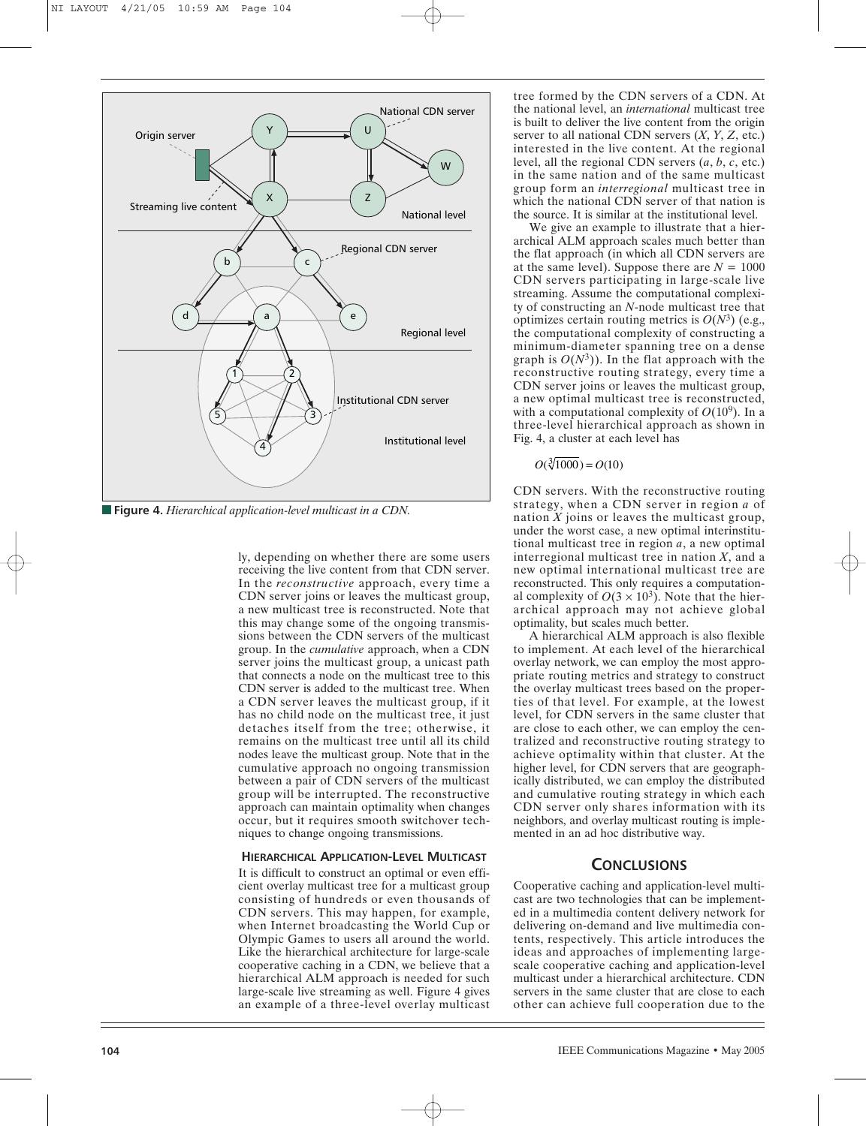

■ **Figure 4.** *Hierarchical application-level multicast in a CDN*.

ly, depending on whether there are some users receiving the live content from that CDN server. In the *reconstructive* approach, every time a CDN server joins or leaves the multicast group, a new multicast tree is reconstructed. Note that this may change some of the ongoing transmissions between the CDN servers of the multicast group. In the *cumulative* approach, when a CDN server joins the multicast group, a unicast path that connects a node on the multicast tree to this CDN server is added to the multicast tree. When a CDN server leaves the multicast group, if it has no child node on the multicast tree, it just detaches itself from the tree; otherwise, it remains on the multicast tree until all its child nodes leave the multicast group. Note that in the cumulative approach no ongoing transmission between a pair of CDN servers of the multicast group will be interrupted. The reconstructive approach can maintain optimality when changes occur, but it requires smooth switchover techniques to change ongoing transmissions.

### **HIERARCHICAL APPLICATION-LEVEL MULTICAST**

It is difficult to construct an optimal or even efficient overlay multicast tree for a multicast group consisting of hundreds or even thousands of CDN servers. This may happen, for example, when Internet broadcasting the World Cup or Olympic Games to users all around the world. Like the hierarchical architecture for large-scale cooperative caching in a CDN, we believe that a hierarchical ALM approach is needed for such large-scale live streaming as well. Figure 4 gives an example of a three-level overlay multicast

tree formed by the CDN servers of a CDN. At the national level, an *international* multicast tree is built to deliver the live content from the origin server to all national CDN servers (*X*, *Y*, *Z*, etc.) interested in the live content. At the regional level, all the regional CDN servers (*a*, *b*, *c*, etc.) in the same nation and of the same multicast group form an *interregional* multicast tree in which the national CDN server of that nation is the source. It is similar at the institutional level.

We give an example to illustrate that a hierarchical ALM approach scales much better than the flat approach (in which all CDN servers are at the same level). Suppose there are  $N = 1000$ CDN servers participating in large-scale live streaming. Assume the computational complexity of constructing an *N*-node multicast tree that optimizes certain routing metrics is  $O(N^3)$  (e.g., the computational complexity of constructing a minimum-diameter spanning tree on a dense graph is  $O(N^3)$ ). In the flat approach with the reconstructive routing strategy, every time a CDN server joins or leaves the multicast group, a new optimal multicast tree is reconstructed, with a computational complexity of  $O(10^9)$ . In a three-level hierarchical approach as shown in Fig. 4, a cluster at each level has

$$
O(\sqrt[3]{1000}) = O(10)
$$

CDN servers. With the reconstructive routing strategy, when a CDN server in region *a* of nation *X* joins or leaves the multicast group, under the worst case, a new optimal interinstitutional multicast tree in region *a*, a new optimal interregional multicast tree in nation *X*, and a new optimal international multicast tree are reconstructed. This only requires a computational complexity of  $O(3 \times 10^3)$ . Note that the hierarchical approach may not achieve global optimality, but scales much better.

A hierarchical ALM approach is also flexible to implement. At each level of the hierarchical overlay network, we can employ the most appropriate routing metrics and strategy to construct the overlay multicast trees based on the properties of that level. For example, at the lowest level, for CDN servers in the same cluster that are close to each other, we can employ the centralized and reconstructive routing strategy to achieve optimality within that cluster. At the higher level, for CDN servers that are geographically distributed, we can employ the distributed and cumulative routing strategy in which each CDN server only shares information with its neighbors, and overlay multicast routing is implemented in an ad hoc distributive way.

# **CONCLUSIONS**

Cooperative caching and application-level multicast are two technologies that can be implemented in a multimedia content delivery network for delivering on-demand and live multimedia contents, respectively. This article introduces the ideas and approaches of implementing largescale cooperative caching and application-level multicast under a hierarchical architecture. CDN servers in the same cluster that are close to each other can achieve full cooperation due to the